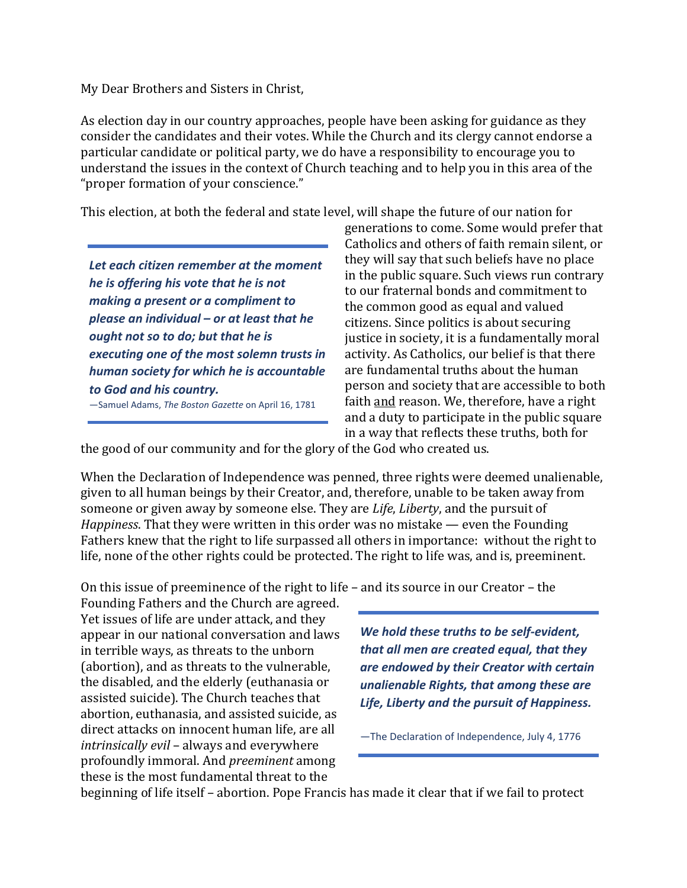My Dear Brothers and Sisters in Christ,

As election day in our country approaches, people have been asking for guidance as they consider the candidates and their votes. While the Church and its clergy cannot endorse a particular candidate or political party, we do have a responsibility to encourage you to understand the issues in the context of Church teaching and to help you in this area of the "proper formation of your conscience."

This election, at both the federal and state level, will shape the future of our nation for

*Let each citizen remember at the moment he is offering his vote that he is not making a present or a compliment to please an individual – or at least that he ought not so to do; but that he is executing one of the most solemn trusts in human society for which he is accountable to God and his country.* —Samuel Adams, *The Boston Gazette* on April 16, 1781

generations to come. Some would prefer that Catholics and others of faith remain silent, or they will say that such beliefs have no place in the public square. Such views run contrary to our fraternal bonds and commitment to the common good as equal and valued citizens. Since politics is about securing justice in society, it is a fundamentally moral activity. As Catholics, our belief is that there are fundamental truths about the human person and society that are accessible to both faith and reason. We, therefore, have a right and a duty to participate in the public square in a way that reflects these truths, both for

the good of our community and for the glory of the God who created us.

When the Declaration of Independence was penned, three rights were deemed unalienable, given to all human beings by their Creator, and, therefore, unable to be taken away from someone or given away by someone else. They are *Life*, *Liberty*, and the pursuit of *Happiness*. That they were written in this order was no mistake — even the Founding Fathers knew that the right to life surpassed all others in importance: without the right to life, none of the other rights could be protected. The right to life was, and is, preeminent.

On this issue of preeminence of the right to life – and its source in our Creator – the

Founding Fathers and the Church are agreed. Yet issues of life are under attack, and they appear in our national conversation and laws in terrible ways, as threats to the unborn (abortion), and as threats to the vulnerable, the disabled, and the elderly (euthanasia or assisted suicide). The Church teaches that abortion, euthanasia, and assisted suicide, as direct attacks on innocent human life, are all *intrinsically evil* – always and everywhere profoundly immoral. And *preeminent* among these is the most fundamental threat to the

*We hold these truths to be self‐evident, that all men are created equal, that they are endowed by their Creator with certain unalienable Rights, that among these are Life, Liberty and the pursuit of Happiness.*

—The Declaration of Independence, July 4, 1776

beginning of life itself – abortion. Pope Francis has made it clear that if we fail to protect